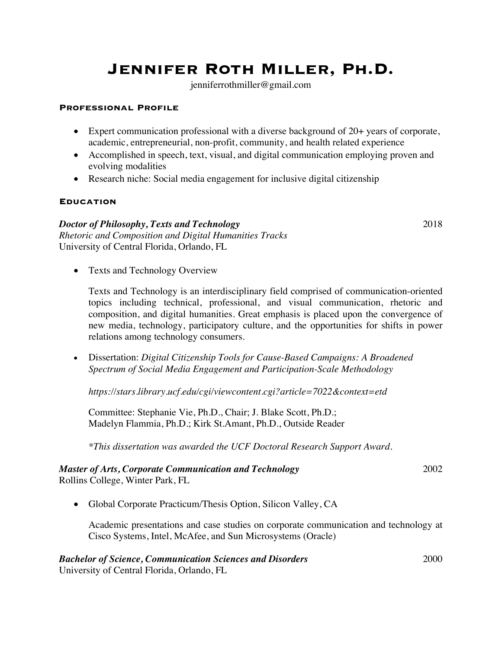# **Jennifer Roth Miller, Ph.D.**

jenniferrothmiller@gmail.com

#### **Professional Profile**

- Expert communication professional with a diverse background of 20+ years of corporate, academic, entrepreneurial, non-profit, community, and health related experience
- Accomplished in speech, text, visual, and digital communication employing proven and evolving modalities
- Research niche: Social media engagement for inclusive digital citizenship

#### **Education**

#### *Doctor of Philosophy, Texts and Technology* 2018 *Rhetoric and Composition and Digital Humanities Tracks*

University of Central Florida, Orlando, FL

• Texts and Technology Overview

Texts and Technology is an interdisciplinary field comprised of communication-oriented topics including technical, professional, and visual communication, rhetoric and composition, and digital humanities. Great emphasis is placed upon the convergence of new media, technology, participatory culture, and the opportunities for shifts in power relations among technology consumers.

• Dissertation: *Digital Citizenship Tools for Cause-Based Campaigns: A Broadened Spectrum of Social Media Engagement and Participation-Scale Methodology*

*https://stars.library.ucf.edu/cgi/viewcontent.cgi?article=7022&context=etd*

Committee: Stephanie Vie, Ph.D., Chair; J. Blake Scott, Ph.D.; Madelyn Flammia, Ph.D.; Kirk St.Amant, Ph.D., Outside Reader

*\*This dissertation was awarded the UCF Doctoral Research Support Award.*

#### *Master of Arts, Corporate Communication and Technology* 2002 Rollins College, Winter Park, FL

• Global Corporate Practicum/Thesis Option, Silicon Valley, CA

Academic presentations and case studies on corporate communication and technology at Cisco Systems, Intel, McAfee, and Sun Microsystems (Oracle)

# *Bachelor of Science, Communication Sciences and Disorders* 2000

University of Central Florida, Orlando, FL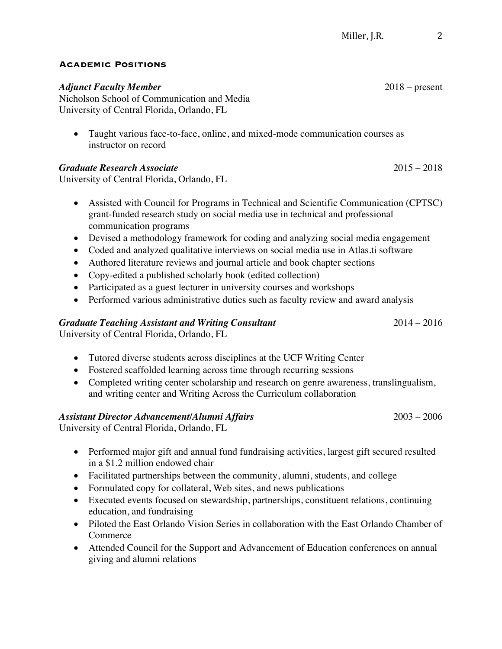### **Academic Positions**

# *Adjunct Faculty Member* 2018 – present

Nicholson School of Communication and Media University of Central Florida, Orlando, FL

• Taught various face-to-face, online, and mixed-mode communication courses as instructor on record

# *Graduate Research Associate* 2015 – 2018

University of Central Florida, Orlando, FL

- Assisted with Council for Programs in Technical and Scientific Communication (CPTSC) grant-funded research study on social media use in technical and professional communication programs
- Devised a methodology framework for coding and analyzing social media engagement
- Coded and analyzed qualitative interviews on social media use in Atlas ti software
- Authored literature reviews and journal article and book chapter sections
- Copy-edited a published scholarly book (edited collection)
- Participated as a guest lecturer in university courses and workshops
- Performed various administrative duties such as faculty review and award analysis

# *Graduate Teaching Assistant and Writing Consultant* 2014 – 2016

University of Central Florida, Orlando, FL

- Tutored diverse students across disciplines at the UCF Writing Center
- Fostered scaffolded learning across time through recurring sessions
- Completed writing center scholarship and research on genre awareness, translingualism, and writing center and Writing Across the Curriculum collaboration

# *Assistant Director Advancement/Alumni Affairs* 2003 – 2006

University of Central Florida, Orlando, FL

- Performed major gift and annual fund fundraising activities, largest gift secured resulted in a \$1.2 million endowed chair
- Facilitated partnerships between the community, alumni, students, and college
- Formulated copy for collateral, Web sites, and news publications
- Executed events focused on stewardship, partnerships, constituent relations, continuing education, and fundraising
- Piloted the East Orlando Vision Series in collaboration with the East Orlando Chamber of Commerce
- Attended Council for the Support and Advancement of Education conferences on annual giving and alumni relations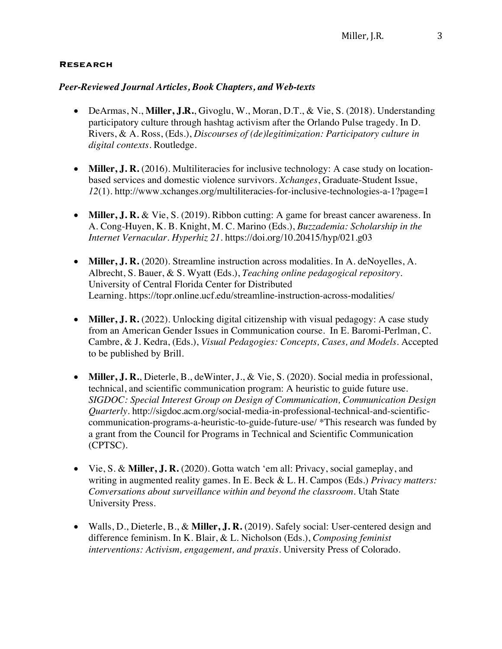#### **Research**

#### *Peer-Reviewed Journal Articles, Book Chapters, and Web-texts*

- DeArmas, N., **Miller, J.R.**, Givoglu, W., Moran, D.T., & Vie, S. (2018). Understanding participatory culture through hashtag activism after the Orlando Pulse tragedy. In D. Rivers, & A. Ross, (Eds.), *Discourses of (de)legitimization: Participatory culture in digital contexts*. Routledge.
- **Miller, J. R.** (2016). Multiliteracies for inclusive technology: A case study on locationbased services and domestic violence survivors*. Xchanges*, Graduate-Student Issue, *12*(1). http://www.xchanges.org/multiliteracies-for-inclusive-technologies-a-1?page=1
- **Miller, J. R.** & Vie, S. (2019). Ribbon cutting: A game for breast cancer awareness*.* In A. Cong-Huyen, K. B. Knight, M. C. Marino (Eds.), *Buzzademia: Scholarship in the Internet Vernacular. Hyperhiz 21.* https://doi.org/10.20415/hyp/021.g03
- **Miller, J. R.** (2020). Streamline instruction across modalities. In A. deNoyelles, A. Albrecht, S. Bauer, & S. Wyatt (Eds.), *Teaching online pedagogical repository*. University of Central Florida Center for Distributed Learning. https://topr.online.ucf.edu/streamline-instruction-across-modalities/
- **Miller, J. R.** (2022). Unlocking digital citizenship with visual pedagogy: A case study from an American Gender Issues in Communication course. In E. Baromi-Perlman, C. Cambre, & J. Kedra, (Eds.), *Visual Pedagogies: Concepts, Cases, and Models.* Accepted to be published by Brill.
- **Miller, J. R.**, Dieterle, B., deWinter, J., & Vie, S. (2020). Social media in professional, technical, and scientific communication program: A heuristic to guide future use. *SIGDOC: Special Interest Group on Design of Communication, Communication Design Quarterly*. http://sigdoc.acm.org/social-media-in-professional-technical-and-scientificcommunication-programs-a-heuristic-to-guide-future-use/ \*This research was funded by a grant from the Council for Programs in Technical and Scientific Communication (CPTSC).
- Vie, S. & **Miller, J. R.** (2020). Gotta watch 'em all: Privacy, social gameplay, and writing in augmented reality games. In E. Beck & L. H. Campos (Eds.) *Privacy matters: Conversations about surveillance within and beyond the classroom*. Utah State University Press.
- Walls, D., Dieterle, B., & **Miller, J. R.** (2019). Safely social: User-centered design and difference feminism. In K. Blair, & L. Nicholson (Eds.), *Composing feminist interventions: Activism, engagement, and praxis.* University Press of Colorado.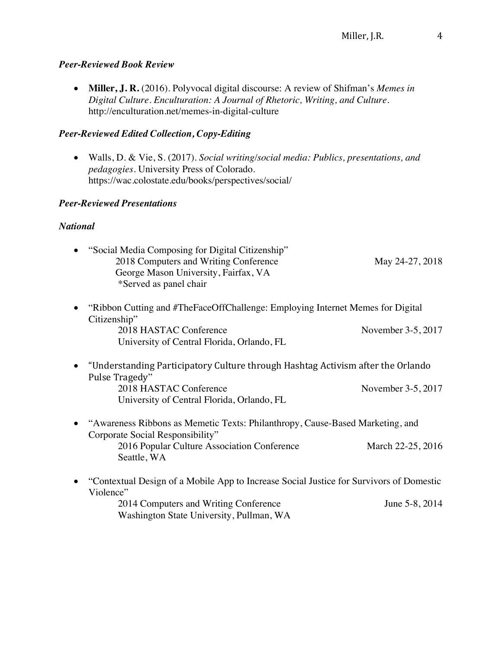# *Peer-Reviewed Book Review*

• **Miller, J. R.** (2016). Polyvocal digital discourse: A review of Shifman's *Memes in Digital Culture*. *Enculturation: A Journal of Rhetoric, Writing, and Culture*. http://enculturation.net/memes-in-digital-culture

# *Peer-Reviewed Edited Collection, Copy-Editing*

• Walls, D. & Vie, S. (2017). *Social writing/social media: Publics, presentations, and pedagogies.* University Press of Colorado. https://wac.colostate.edu/books/perspectives/social/

# *Peer-Reviewed Presentations*

# *National*

| "Social Media Composing for Digital Citizenship"<br>2018 Computers and Writing Conference<br>George Mason University, Fairfax, VA<br>*Served as panel chair                               | May 24-27, 2018    |
|-------------------------------------------------------------------------------------------------------------------------------------------------------------------------------------------|--------------------|
| "Ribbon Cutting and #TheFaceOffChallenge: Employing Internet Memes for Digital<br>Citizenship"                                                                                            |                    |
| 2018 HASTAC Conference<br>University of Central Florida, Orlando, FL                                                                                                                      | November 3-5, 2017 |
| "Understanding Participatory Culture through Hashtag Activism after the Orlando<br>Pulse Tragedy"<br>2018 HASTAC Conference<br>University of Central Florida, Orlando, FL                 | November 3-5, 2017 |
| "Awareness Ribbons as Memetic Texts: Philanthropy, Cause-Based Marketing, and<br>Corporate Social Responsibility"<br>2016 Popular Culture Association Conference<br>Seattle, WA           | March 22-25, 2016  |
| "Contextual Design of a Mobile App to Increase Social Justice for Survivors of Domestic<br>Violence"<br>2014 Computers and Writing Conference<br>Washington State University, Pullman, WA | June 5-8, 2014     |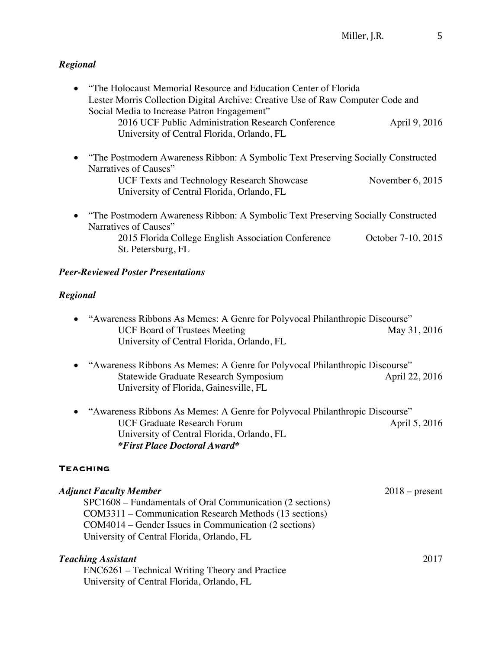# *Regional*

| • "The Holocaust Memorial Resource and Education Center of Florida"<br>Lester Morris Collection Digital Archive: Creative Use of Raw Computer Code and |                    |  |
|--------------------------------------------------------------------------------------------------------------------------------------------------------|--------------------|--|
| Social Media to Increase Patron Engagement"<br>2016 UCF Public Administration Research Conference<br>University of Central Florida, Orlando, FL        | April 9, 2016      |  |
| "The Postmodern Awareness Ribbon: A Symbolic Text Preserving Socially Constructed                                                                      |                    |  |
| Narratives of Causes"<br><b>UCF Texts and Technology Research Showcase</b><br>University of Central Florida, Orlando, FL                               | November $6, 2015$ |  |
| • "The Postmodern Awareness Ribbon: A Symbolic Text Preserving Socially Constructed<br>Narratives of Causes"                                           |                    |  |
| 2015 Florida College English Association Conference<br>St. Petersburg, FL                                                                              | October 7-10, 2015 |  |
| <b>Peer-Reviewed Poster Presentations</b>                                                                                                              |                    |  |
| Regional                                                                                                                                               |                    |  |
| "Awareness Ribbons As Memes: A Genre for Polyvocal Philanthropic Discourse"                                                                            |                    |  |

- UCF Board of Trustees Meeting May 31, 2016 University of Central Florida, Orlando, FL
- "Awareness Ribbons As Memes: A Genre for Polyvocal Philanthropic Discourse" Statewide Graduate Research Symposium April 22, 2016 University of Florida, Gainesville, FL
- "Awareness Ribbons As Memes: A Genre for Polyvocal Philanthropic Discourse" UCF Graduate Research Forum April 5, 2016 University of Central Florida, Orlando, FL *\*First Place Doctoral Award\**

# **Teaching**

| <b>Adjunct Faculty Member</b>                             | $2018$ – present |
|-----------------------------------------------------------|------------------|
| SPC1608 – Fundamentals of Oral Communication (2 sections) |                  |
| COM3311 – Communication Research Methods (13 sections)    |                  |
| COM4014 – Gender Issues in Communication (2 sections)     |                  |
| University of Central Florida, Orlando, FL                |                  |
| <b>Teaching Assistant</b>                                 | 2017             |

 ENC6261 – Technical Writing Theory and Practice University of Central Florida, Orlando, FL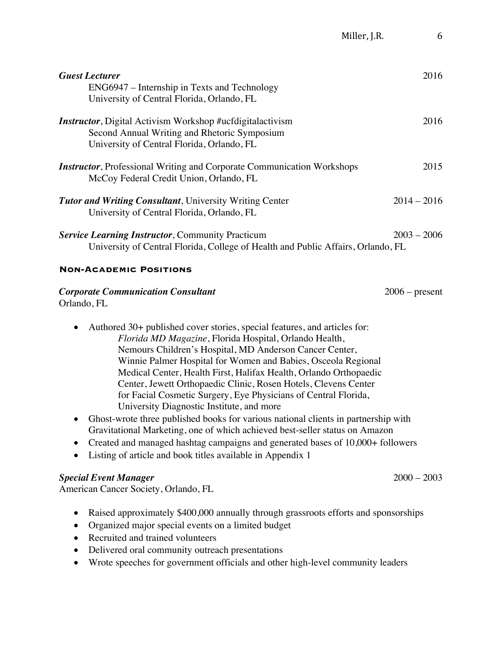| <b>Guest Lecturer</b><br>ENG6947 – Internship in Texts and Technology<br>University of Central Florida, Orlando, FL                                             | 2016             |
|-----------------------------------------------------------------------------------------------------------------------------------------------------------------|------------------|
| <b>Instructor</b> , Digital Activism Workshop #ucfdigitalactivism<br>Second Annual Writing and Rhetoric Symposium<br>University of Central Florida, Orlando, FL | 2016             |
| <b>Instructor</b> , Professional Writing and Corporate Communication Workshops<br>McCoy Federal Credit Union, Orlando, FL                                       | 2015             |
| <b>Tutor and Writing Consultant</b> , University Writing Center<br>University of Central Florida, Orlando, FL                                                   | $2014 - 2016$    |
| <b>Service Learning Instructor, Community Practicum</b><br>University of Central Florida, College of Health and Public Affairs, Orlando, FL                     | $2003 - 2006$    |
| <b>NON-ACADEMIC POSITIONS</b>                                                                                                                                   |                  |
| <b>Corporate Communication Consultant</b>                                                                                                                       | $2006$ – present |

Orlando, FL

- Authored 30+ published cover stories, special features, and articles for: *Florida MD Magazine*, Florida Hospital, Orlando Health, Nemours Children's Hospital, MD Anderson Cancer Center, Winnie Palmer Hospital for Women and Babies, Osceola Regional Medical Center, Health First, Halifax Health, Orlando Orthopaedic Center, Jewett Orthopaedic Clinic, Rosen Hotels, Clevens Center for Facial Cosmetic Surgery, Eye Physicians of Central Florida, University Diagnostic Institute, and more
- Ghost-wrote three published books for various national clients in partnership with Gravitational Marketing, one of which achieved best-seller status on Amazon
- Created and managed hashtag campaigns and generated bases of 10,000+ followers
- Listing of article and book titles available in Appendix 1

# *Special Event Manager* 2000 – 2003

American Cancer Society, Orlando, FL

- Raised approximately \$400,000 annually through grassroots efforts and sponsorships
- Organized major special events on a limited budget
- Recruited and trained volunteers
- Delivered oral community outreach presentations
- Wrote speeches for government officials and other high-level community leaders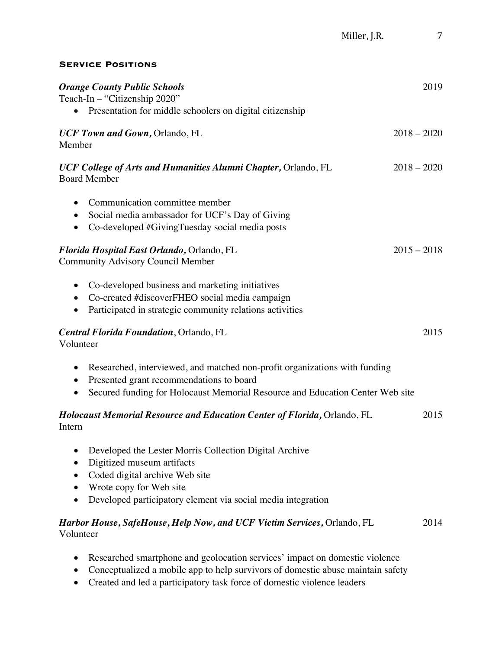### **Service Positions**

| <b>Orange County Public Schools</b><br>2019                                                                                                                                                                            |               |
|------------------------------------------------------------------------------------------------------------------------------------------------------------------------------------------------------------------------|---------------|
| Teach-In - "Citizenship 2020"<br>Presentation for middle schoolers on digital citizenship                                                                                                                              |               |
| UCF Town and Gown, Orlando, FL<br>Member                                                                                                                                                                               | $2018 - 2020$ |
| $2018 - 2020$<br>UCF College of Arts and Humanities Alumni Chapter, Orlando, FL<br><b>Board Member</b>                                                                                                                 |               |
| Communication committee member<br>$\bullet$<br>Social media ambassador for UCF's Day of Giving<br>Co-developed #GivingTuesday social media posts<br>$\bullet$                                                          |               |
| Florida Hospital East Orlando, Orlando, FL<br>$2015 - 2018$<br><b>Community Advisory Council Member</b>                                                                                                                |               |
| Co-developed business and marketing initiatives<br>Co-created #discoverFHEO social media campaign<br>Participated in strategic community relations activities                                                          |               |
| 2015<br><b>Central Florida Foundation</b> , Orlando, FL<br>Volunteer                                                                                                                                                   |               |
| Researched, interviewed, and matched non-profit organizations with funding<br>Presented grant recommendations to board<br>Secured funding for Holocaust Memorial Resource and Education Center Web site<br>$\bullet$   |               |
| Holocaust Memorial Resource and Education Center of Florida, Orlando, FL<br>2015<br>Intern                                                                                                                             |               |
| Developed the Lester Morris Collection Digital Archive<br>0<br>Digitized museum artifacts<br>Coded digital archive Web site<br>Wrote copy for Web site<br>Developed participatory element via social media integration |               |
| Harbor House, SafeHouse, Help Now, and UCF Victim Services, Orlando, FL<br>Volunteer                                                                                                                                   | 2014          |
|                                                                                                                                                                                                                        |               |

- Researched smartphone and geolocation services' impact on domestic violence
- Conceptualized a mobile app to help survivors of domestic abuse maintain safety
- Created and led a participatory task force of domestic violence leaders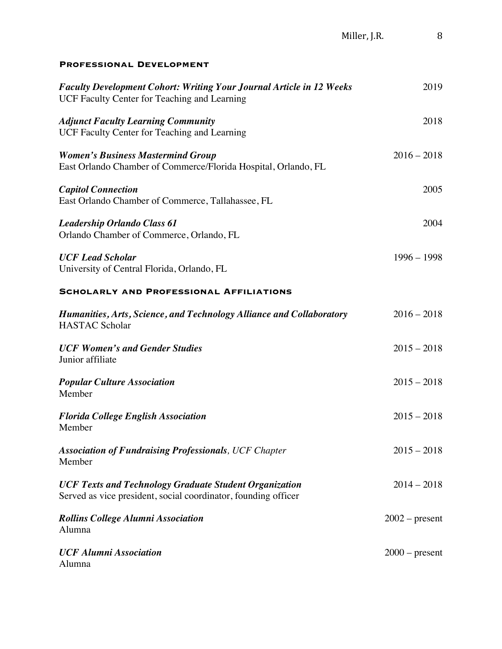#### **Professional Development**

| <b>Faculty Development Cohort: Writing Your Journal Article in 12 Weeks</b><br>UCF Faculty Center for Teaching and Learning     | 2019             |
|---------------------------------------------------------------------------------------------------------------------------------|------------------|
| <b>Adjunct Faculty Learning Community</b><br>UCF Faculty Center for Teaching and Learning                                       | 2018             |
| <b>Women's Business Mastermind Group</b><br>East Orlando Chamber of Commerce/Florida Hospital, Orlando, FL                      | $2016 - 2018$    |
| <b>Capitol Connection</b><br>East Orlando Chamber of Commerce, Tallahassee, FL                                                  | 2005             |
| <b>Leadership Orlando Class 61</b><br>Orlando Chamber of Commerce, Orlando, FL                                                  | 2004             |
| <b>UCF Lead Scholar</b><br>University of Central Florida, Orlando, FL                                                           | $1996 - 1998$    |
| <b>SCHOLARLY AND PROFESSIONAL AFFILIATIONS</b>                                                                                  |                  |
| Humanities, Arts, Science, and Technology Alliance and Collaboratory<br><b>HASTAC Scholar</b>                                   | $2016 - 2018$    |
| <b>UCF Women's and Gender Studies</b><br>Junior affiliate                                                                       | $2015 - 2018$    |
| <b>Popular Culture Association</b><br>Member                                                                                    | $2015 - 2018$    |
| <b>Florida College English Association</b><br>Member                                                                            | $2015 - 2018$    |
| <b>Association of Fundraising Professionals, UCF Chapter</b><br>Member                                                          | $2015 - 2018$    |
| <b>UCF Texts and Technology Graduate Student Organization</b><br>Served as vice president, social coordinator, founding officer | $2014 - 2018$    |
| <b>Rollins College Alumni Association</b><br>Alumna                                                                             | $2002$ – present |
| <b>UCF Alumni Association</b><br>Alumna                                                                                         | $2000$ – present |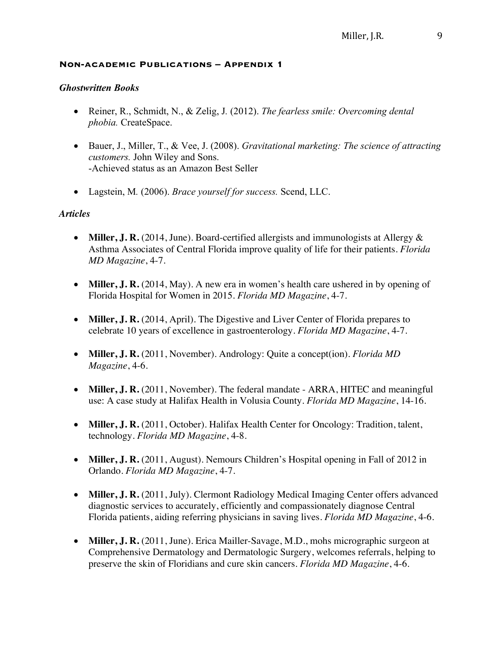#### **Non-academic Publications – Appendix 1**

#### *Ghostwritten Books*

- Reiner, R., Schmidt, N., & Zelig, J*.* (2012). *The fearless smile: Overcoming dental phobia.* CreateSpace.
- Bauer, J., Miller, T., & Vee, J. (2008). *Gravitational marketing: The science of attracting customers.* John Wiley and Sons. -Achieved status as an Amazon Best Seller
- Lagstein, M*.* (2006). *Brace yourself for success.* Scend, LLC.

### *Articles*

- **Miller, J. R.** (2014, June). Board-certified allergists and immunologists at Allergy & Asthma Associates of Central Florida improve quality of life for their patients. *Florida MD Magazine*, 4-7.
- **Miller, J. R.** (2014, May). A new era in women's health care ushered in by opening of Florida Hospital for Women in 2015. *Florida MD Magazine*, 4-7.
- **Miller, J. R.** (2014, April). The Digestive and Liver Center of Florida prepares to celebrate 10 years of excellence in gastroenterology. *Florida MD Magazine*, 4-7.
- **Miller, J. R.** (2011, November). Andrology: Quite a concept(ion). *Florida MD Magazine*, 4-6.
- **Miller, J. R.** (2011, November). The federal mandate ARRA, HITEC and meaningful use: A case study at Halifax Health in Volusia County. *Florida MD Magazine*, 14-16.
- **Miller, J. R.** (2011, October). Halifax Health Center for Oncology: Tradition, talent, technology. *Florida MD Magazine*, 4-8.
- **Miller, J. R.** (2011, August). Nemours Children's Hospital opening in Fall of 2012 in Orlando. *Florida MD Magazine*, 4-7.
- **Miller, J. R.** (2011, July). Clermont Radiology Medical Imaging Center offers advanced diagnostic services to accurately, efficiently and compassionately diagnose Central Florida patients, aiding referring physicians in saving lives. *Florida MD Magazine*, 4-6.
- **Miller, J. R.** (2011, June). Erica Mailler-Savage, M.D., mohs micrographic surgeon at Comprehensive Dermatology and Dermatologic Surgery, welcomes referrals, helping to preserve the skin of Floridians and cure skin cancers. *Florida MD Magazine*, 4-6.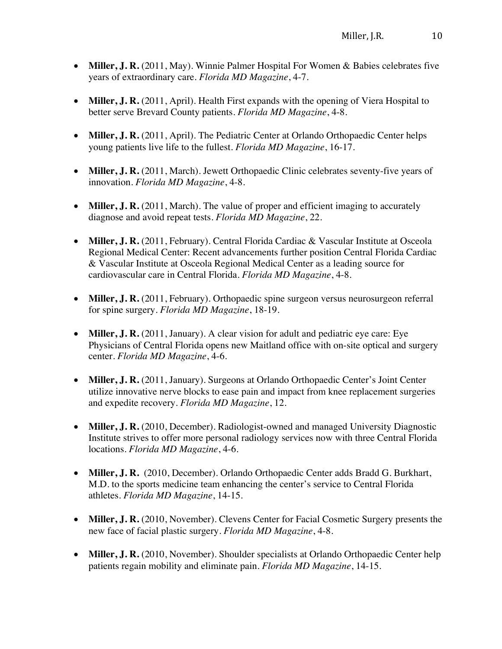- **Miller, J. R.** (2011, May). Winnie Palmer Hospital For Women & Babies celebrates five years of extraordinary care. *Florida MD Magazine*, 4-7.
- **Miller, J. R.** (2011, April). Health First expands with the opening of Viera Hospital to better serve Brevard County patients. *Florida MD Magazine*, 4-8.
- **Miller, J. R.** (2011, April). The Pediatric Center at Orlando Orthopaedic Center helps young patients live life to the fullest. *Florida MD Magazine*, 16-17.
- Miller, **J. R.** (2011, March). Jewett Orthopaedic Clinic celebrates seventy-five years of innovation. *Florida MD Magazine*, 4-8.
- **Miller, J. R.** (2011, March). The value of proper and efficient imaging to accurately diagnose and avoid repeat tests. *Florida MD Magazine*, 22.
- **Miller, J. R.** (2011, February). Central Florida Cardiac & Vascular Institute at Osceola Regional Medical Center: Recent advancements further position Central Florida Cardiac & Vascular Institute at Osceola Regional Medical Center as a leading source for cardiovascular care in Central Florida. *Florida MD Magazine*, 4-8.
- **Miller, J. R.** (2011, February). Orthopaedic spine surgeon versus neurosurgeon referral for spine surgery. *Florida MD Magazine*, 18-19.
- **Miller, J. R.** (2011, January). A clear vision for adult and pediatric eye care: Eye Physicians of Central Florida opens new Maitland office with on-site optical and surgery center. *Florida MD Magazine*, 4-6.
- **Miller, J. R.** (2011, January). Surgeons at Orlando Orthopaedic Center's Joint Center utilize innovative nerve blocks to ease pain and impact from knee replacement surgeries and expedite recovery. *Florida MD Magazine*, 12.
- **Miller, J. R.** (2010, December). Radiologist-owned and managed University Diagnostic Institute strives to offer more personal radiology services now with three Central Florida locations. *Florida MD Magazine*, 4-6.
- **Miller, J. R.** (2010, December). Orlando Orthopaedic Center adds Bradd G. Burkhart, M.D. to the sports medicine team enhancing the center's service to Central Florida athletes. *Florida MD Magazine*, 14-15.
- **Miller, J. R.** (2010, November). Clevens Center for Facial Cosmetic Surgery presents the new face of facial plastic surgery. *Florida MD Magazine*, 4-8.
- **Miller, J. R.** (2010, November). Shoulder specialists at Orlando Orthopaedic Center help patients regain mobility and eliminate pain. *Florida MD Magazine*, 14-15.